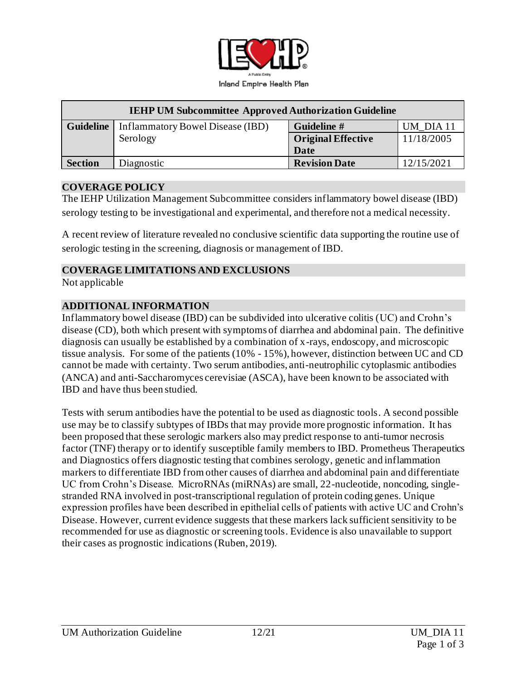

| <b>IEHP UM Subcommittee Approved Authorization Guideline</b> |                                  |                           |            |
|--------------------------------------------------------------|----------------------------------|---------------------------|------------|
| <b>Guideline</b>                                             | Inflammatory Bowel Disease (IBD) | Guideline #               | UM DIA 11  |
|                                                              | Serology                         | <b>Original Effective</b> | 11/18/2005 |
|                                                              |                                  | Date                      |            |
| <b>Section</b>                                               | Diagnostic                       | <b>Revision Date</b>      | 12/15/2021 |

#### **COVERAGE POLICY**

The IEHP Utilization Management Subcommittee considers inflammatory bowel disease (IBD) serology testing to be investigational and experimental, and therefore not a medical necessity.

A recent review of literature revealed no conclusive scientific data supporting the routine use of serologic testing in the screening, diagnosis or management of IBD.

#### **COVERAGE LIMITATIONS AND EXCLUSIONS**

Not applicable

#### **ADDITIONAL INFORMATION**

Inflammatory bowel disease (IBD) can be subdivided into ulcerative colitis (UC) and Crohn's disease (CD), both which present with symptoms of diarrhea and abdominal pain. The definitive diagnosis can usually be established by a combination of x-rays, endoscopy, and microscopic tissue analysis. For some of the patients (10% - 15%), however, distinction between UC and CD cannot be made with certainty. Two serum antibodies, anti-neutrophilic cytoplasmic antibodies (ANCA) and anti-Saccharomyces cerevisiae (ASCA), have been known to be associated with IBD and have thus been studied.

Tests with serum antibodies have the potential to be used as diagnostic tools. A second possible use may be to classify subtypes of IBDs that may provide more prognostic information. It has been proposed that these serologic markers also may predict response to anti-tumor necrosis factor (TNF) therapy or to identify susceptible family members to IBD. Prometheus Therapeutics and Diagnostics offers diagnostic testing that combines serology, genetic and inflammation markers to differentiate IBD from other causes of diarrhea and abdominal pain and differentiate UC from Crohn's Disease. MicroRNAs (miRNAs) are small, 22-nucleotide, noncoding, singlestranded RNA involved in post-transcriptional regulation of protein coding genes. Unique expression profiles have been described in epithelial cells of patients with active UC and Crohn's Disease. However, current evidence suggests that these markers lack sufficient sensitivity to be recommended for use as diagnostic or screening tools. Evidence is also unavailable to support their cases as prognostic indications (Ruben, 2019).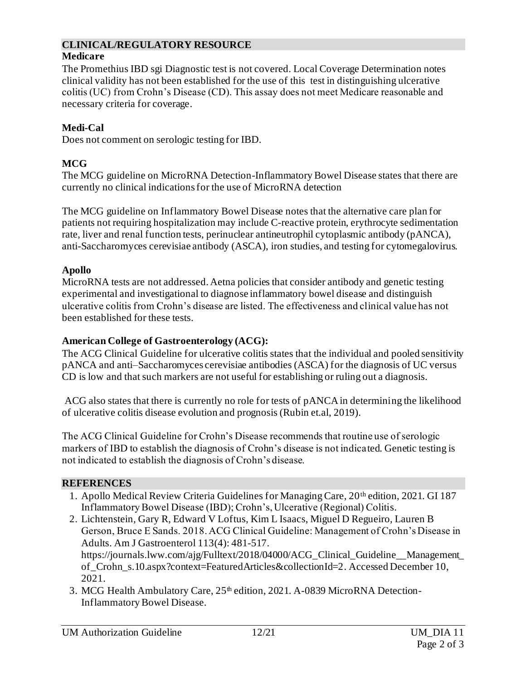# **CLINICAL/REGULATORY RESOURCE**

## **Medicare**

The Promethius IBD sgi Diagnostic test is not covered. Local Coverage Determination notes clinical validity has not been established for the use of this test in distinguishing ulcerative colitis (UC) from Crohn's Disease (CD). This assay does not meet Medicare reasonable and necessary criteria for coverage.

# **Medi-Cal**

Does not comment on serologic testing for IBD.

# **MCG**

The MCG guideline on MicroRNA Detection-Inflammatory Bowel Disease states that there are currently no clinical indications for the use of MicroRNA detection

The MCG guideline on Inflammatory Bowel Disease notes that the alternative care plan for patients not requiring hospitalization may include C-reactive protein, erythrocyte sedimentation rate, liver and renal function tests, perinuclear antineutrophil cytoplasmic antibody (pANCA), anti-Saccharomyces cerevisiae antibody (ASCA), iron studies, and testing for cytomegalovirus.

## **Apollo**

MicroRNA tests are not addressed. Aetna policies that consider antibody and genetic testing experimental and investigational to diagnose inflammatory bowel disease and distinguish ulcerative colitis from Crohn's disease are listed. The effectiveness and clinical value has not been established for these tests.

## **American College of Gastroenterology (ACG):**

The ACG Clinical Guideline for ulcerative colitis states that the individual and pooled sensitivity pANCA and anti–Saccharomyces cerevisiae antibodies (ASCA) for the diagnosis of UC versus CD is low and that such markers are not useful for establishing or ruling out a diagnosis.

ACG also states that there is currently no role for tests of pANCA in determining the likelihood of ulcerative colitis disease evolution and prognosis (Rubin et.al, 2019).

The ACG Clinical Guideline for Crohn's Disease recommends that routine use of serologic markers of IBD to establish the diagnosis of Crohn's disease is not indicated. Genetic testing is not indicated to establish the diagnosis of Crohn's disease.

## **REFERENCES**

- 1. Apollo Medical Review Criteria Guidelines for Managing Care, 20<sup>th</sup> edition, 2021. GI 187 Inflammatory Bowel Disease (IBD); Crohn's, Ulcerative (Regional) Colitis.
- 2. Lichtenstein, Gary R, Edward V Loftus, Kim L Isaacs, Miguel D Regueiro, Lauren B Gerson, Bruce E Sands. 2018. ACG Clinical Guideline: Management of Crohn's Disease in Adults. Am J Gastroenterol 113(4): 481-517. [https://journals.lww.com/ajg/Fulltext/2018/04000/ACG\\_Clinical\\_Guideline\\_\\_Management\\_](https://journals.lww.com/ajg/Fulltext/2018/04000/ACG_Clinical_Guideline__Management_of_Crohn_s.10.aspx?context=FeaturedArticles&collectionId=2) [of\\_Crohn\\_s.10.aspx?context=FeaturedArticles&collectionId=2](https://journals.lww.com/ajg/Fulltext/2018/04000/ACG_Clinical_Guideline__Management_of_Crohn_s.10.aspx?context=FeaturedArticles&collectionId=2). Accessed December 10, 2021.
- 3. MCG Health Ambulatory Care, 25<sup>th</sup> edition, 2021. A-0839 MicroRNA Detection-Inflammatory Bowel Disease.